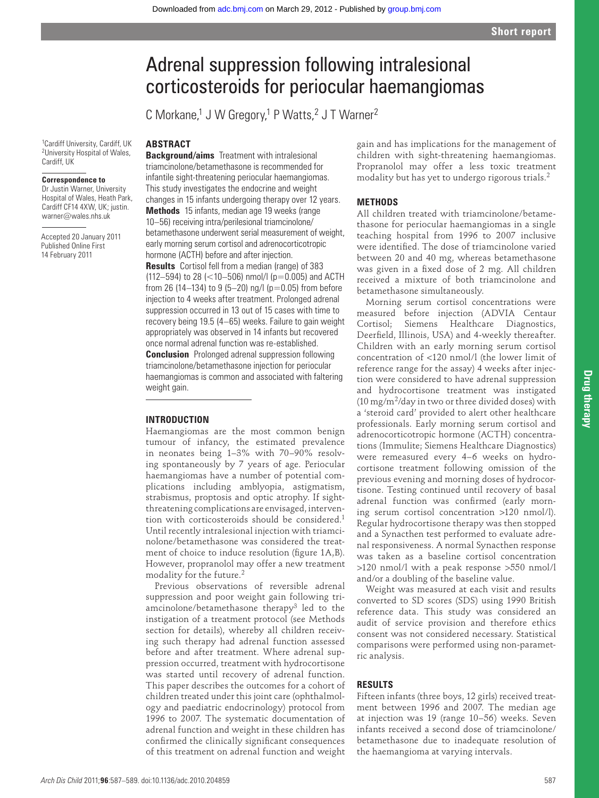# Adrenal suppression following intralesional corticosteroids for periocular haemangiomas

C Morkane,<sup>1</sup> J W Gregory,<sup>1</sup> P Watts,<sup>2</sup> J T Warner<sup>2</sup>

1 Cardiff University, Cardiff, UK <sup>2</sup> University Hospital of Wales, Cardiff, UK

#### **Correspondence to**

 Dr Justin Warner, University Hospital of Wales, Heath Park, Cardiff CF14 4XW, UK; justin. warner@wales.nhs.uk

Accepted 20 January 2011 Published Online First 14 February 2011

**Background/aims** Treatment with intralesional triamcinolone/betamethasone is recommended for infantile sight-threatening periocular haemangiomas. This study investigates the endocrine and weight changes in 15 infants undergoing therapy over 12 years.

 **ABSTRACT** 

 **Methods** 15 infants, median age 19 weeks (range 10–56) receiving intra/perilesional triamcinolone/ betamethasone underwent serial measurement of weight, early morning serum cortisol and adrenocorticotropic hormone (ACTH) before and after injection.

 **Results** Cortisol fell from a median (range) of 383 (112–594) to 28 (<10–506) nmol/l (p=0.005) and ACTH from 26 (14–134) to 9 (5–20) ng/l (p=0.05) from before injection to 4 weeks after treatment. Prolonged adrenal suppression occurred in 13 out of 15 cases with time to recovery being 19.5 (4–65) weeks. Failure to gain weight appropriately was observed in 14 infants but recovered once normal adrenal function was re-established.

 **Conclusion** Prolonged adrenal suppression following triamcinolone/betamethasone injection for periocular haemangiomas is common and associated with faltering weight gain.

#### **INTRODUCTION**

Haemangiomas are the most common benign tumour of infancy, the estimated prevalence in neonates being 1–3% with 70–90% resolving spontaneously by 7 years of age. Periocular haemangiomas have a number of potential complications including amblyopia, astigmatism, strabismus, proptosis and optic atrophy. If sightthreatening complications are envisaged, intervention with corticosteroids should be considered.<sup>1</sup> Until recently intralesional injection with triamcinolone/betamethasone was considered the treatment of choice to induce resolution (figure 1A,B). However, propranolol may offer a new treatment modality for the future. 2

Previous observations of reversible adrenal suppression and poor weight gain following triamcinolone/betamethasone therapy<sup>3</sup> led to the instigation of a treatment protocol (see Methods section for details), whereby all children receiving such therapy had adrenal function assessed before and after treatment. Where adrenal suppression occurred, treatment with hydrocortisone was started until recovery of adrenal function. This paper describes the outcomes for a cohort of children treated under this joint care (ophthalmology and paediatric endocrinology) protocol from 1996 to 2007. The systematic documentation of adrenal function and weight in these children has confirmed the clinically significant consequences of this treatment on adrenal function and weight

gain and has implications for the management of children with sight-threatening haemangiomas. Propranolol may offer a less toxic treatment modality but has yet to undergo rigorous trials. 2

#### **METHODS**

All children treated with triamcinolone/betamethasone for periocular haemangiomas in a single teaching hospital from 1996 to 2007 inclusive were identified. The dose of triamcinolone varied between 20 and 40 mg, whereas betamethasone was given in a fixed dose of 2 mg. All children received a mixture of both triamcinolone and betamethasone simultaneously.

Morning serum cortisol concentrations were measured before injection (ADVIA Centaur Cortisol; Siemens Healthcare Diagnostics, Deerfield, Illinois, USA) and 4-weekly thereafter. Children with an early morning serum cortisol concentration of <120 nmol/l (the lower limit of reference range for the assay) 4 weeks after injection were considered to have adrenal suppression and hydrocortisone treatment was instigated (10 mg/m<sup>2</sup>/day in two or three divided doses) with a 'steroid card' provided to alert other healthcare professionals. Early morning serum cortisol and adrenocorticotropic hormone (ACTH) concentrations (Immulite; Siemens Healthcare Diagnostics) were remeasured every 4–6 weeks on hydrocortisone treatment following omission of the previous evening and morning doses of hydrocortisone. Testing continued until recovery of basal adrenal function was confirmed (early morning serum cortisol concentration >120 nmol/l). Regular hydrocortisone therapy was then stopped and a Synacthen test performed to evaluate adrenal responsiveness. A normal Synacthen response was taken as a baseline cortisol concentration >120 nmol/l with a peak response >550 nmol/l and/or a doubling of the baseline value.

Weight was measured at each visit and results converted to SD scores (SDS) using 1990 British reference data. This study was considered an audit of service provision and therefore ethics consent was not considered necessary. Statistical comparisons were performed using non-parametric analysis.

### **RESULTS**

Fifteen infants (three boys, 12 girls) received treatment between 1996 and 2007. The median age at injection was 19 (range 10–56) weeks. Seven infants received a second dose of triamcinolone/ betamethasone due to inadequate resolution of the haemangioma at varying intervals.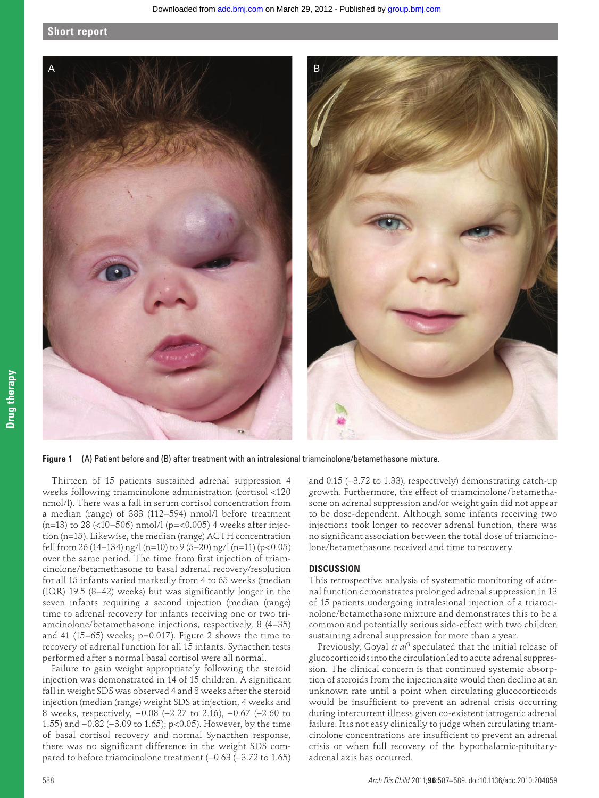#### **Short report**



 **Figure 1** (A) Patient before and (B) after treatment with an intralesional triamcinolone/betamethasone mixture.

Thirteen of 15 patients sustained adrenal suppression 4 weeks following triamcinolone administration (cortisol <120 nmol/l). There was a fall in serum cortisol concentration from a median (range) of 383 (112–594) nmol/l before treatment (n=13) to 28 (<10-506) nmol/l (p=<0.005) 4 weeks after injection (n=15). Likewise, the median (range) ACTH concentration fell from 26 (14–134) ng/l (n=10) to 9 (5–20) ng/l (n=11) (p<0.05) over the same period. The time from first injection of triamcinolone/betamethasone to basal adrenal recovery/resolution for all 15 infants varied markedly from 4 to 65 weeks (median  $(IOR)$  19.5  $(8-42)$  weeks) but was significantly longer in the seven infants requiring a second injection (median (range) time to adrenal recovery for infants receiving one or two triamcinolone/betamethasone injections, respectively, 8 (4–35) and 41 (15–65) weeks;  $p=0.017$ ). Figure 2 shows the time to recovery of adrenal function for all 15 infants. Synacthen tests performed after a normal basal cortisol were all normal.

Failure to gain weight appropriately following the steroid injection was demonstrated in 14 of 15 children. A significant fall in weight SDS was observed 4 and 8 weeks after the steroid injection (median (range) weight SDS at injection, 4 weeks and 8 weeks, respectively, −0.08 (−2.27 to 2.16), −0.67 (−2.60 to 1.55) and −0.82 (−3.09 to 1.65); p<0.05). However, by the time of basal cortisol recovery and normal Synacthen response, there was no significant difference in the weight SDS compared to before triamcinolone treatment (−0.63 (−3.72 to 1.65) and 0.15 (−3.72 to 1.33), respectively) demonstrating catch-up growth. Furthermore, the effect of triamcinolone/betamethasone on adrenal suppression and/or weight gain did not appear to be dose-dependent. Although some infants receiving two injections took longer to recover adrenal function, there was no significant association between the total dose of triamcinolone/betamethasone received and time to recovery.

#### **DISCUSSION**

This retrospective analysis of systematic monitoring of adrenal function demonstrates prolonged adrenal suppression in 13 of 15 patients undergoing intralesional injection of a triamcinolone/betamethasone mixture and demonstrates this to be a common and potentially serious side-effect with two children sustaining adrenal suppression for more than a year.

Previously, Goyal *et al<sup>3</sup>* speculated that the initial release of glucocorticoids into the circulation led to acute adrenal suppression. The clinical concern is that continued systemic absorption of steroids from the injection site would then decline at an unknown rate until a point when circulating glucocorticoids would be insufficient to prevent an adrenal crisis occurring during intercurrent illness given co-existent iatrogenic adrenal failure. It is not easy clinically to judge when circulating triamcinolone concentrations are insufficient to prevent an adrenal crisis or when full recovery of the hypothalamic-pituitaryadrenal axis has occurred.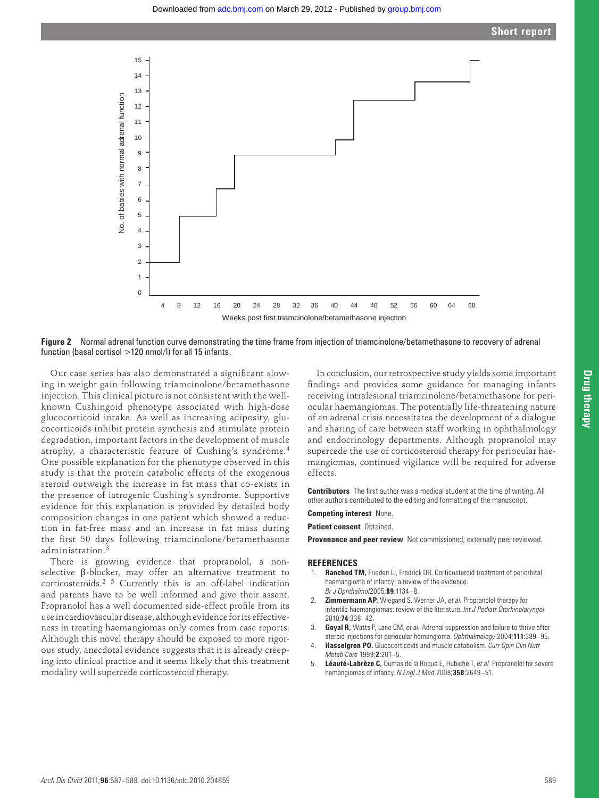

 **Figure 2** Normal adrenal function curve demonstrating the time frame from injection of triamcinolone/betamethasone to recovery of adrenal function (basal cortisol >120 nmol/l) for all 15 infants.

Our case series has also demonstrated a significant slowing in weight gain following triamcinolone/betamethasone injection. This clinical picture is not consistent with the wellknown Cushingoid phenotype associated with high-dose glucocorticoid intake. As well as increasing adiposity, glucocorticoids inhibit protein synthesis and stimulate protein degradation, important factors in the development of muscle atrophy, a characteristic feature of Cushing's syndrome. 4 One possible explanation for the phenotype observed in this study is that the protein catabolic effects of the exogenous steroid outweigh the increase in fat mass that co-exists in the presence of iatrogenic Cushing's syndrome. Supportive evidence for this explanation is provided by detailed body composition changes in one patient which showed a reduction in fat-free mass and an increase in fat mass during the first 50 days following triamcinolone/betamethasone administration. 3

There is growing evidence that propranolol, a nonselective β-blocker, may offer an alternative treatment to corticosteroids.<sup>2 5</sup> Currently this is an off-label indication and parents have to be well informed and give their assent. Propranolol has a well documented side-effect profile from its use in cardiovascular disease, although evidence for its effectiveness in treating haemangiomas only comes from case reports. Although this novel therapy should be exposed to more rigorous study, anecdotal evidence suggests that it is already creeping into clinical practice and it seems likely that this treatment modality will supercede corticosteroid therapy.

In conclusion, our retrospective study yields some important findings and provides some guidance for managing infants receiving intralesional triamcinolone/betamethasone for periocular haemangiomas. The potentially life-threatening nature of an adrenal crisis necessitates the development of a dialogue and sharing of care between staff working in ophthalmology and endocrinology departments. Although propranolol may supercede the use of corticosteroid therapy for periocular haemangiomas, continued vigilance will be required for adverse effects.

**Contributors** The first author was a medical student at the time of writing. All other authors contributed to the editing and formatting of the manuscript.

## **Competing interest** None.

 **Patient consent** Obtained.

**Provenance and peer review** Not commissioned; externally peer reviewed.

#### **REFERENCES**

- 1. **Ranchod TM,** Frieden IJ, Fredrick DR. Corticosteroid treatment of periorbital haemangioma of infancy: a review of the evidence. *Br J Ophthalmol* 2005 ; **89** : 1134 – 8 .
- 2. **Zimmermann AP,** Wiegand S, Werner JA, *et al.* Propranolol therapy for infantile haemangiomas: review of the literature. *Int J Pediatr Otorhinolaryngol* 2010 ; **74** : 338 – 42 .
- 3. **Goyal R,** Watts P, Lane CM, *et al.* Adrenal suppression and failure to thrive after steroid injections for periocular hemangioma. *Ophthalmology* 2004;111:389-95.
- 4. **Hasselgren PO.** Glucocorticoids and muscle catabolism. *Curr Opin Clin Nutr Metab Care* 1999 ; **2** : 201 – 5 .
- 5. **Léauté-Labrèze C,** Dumas de la Roque E, Hubiche T, *et al.* Propranolol for severe hemangiomas of infancy. *N Engl J Med* 2008;358:2649-51.

**Drug therapy**

**Drug therapy**